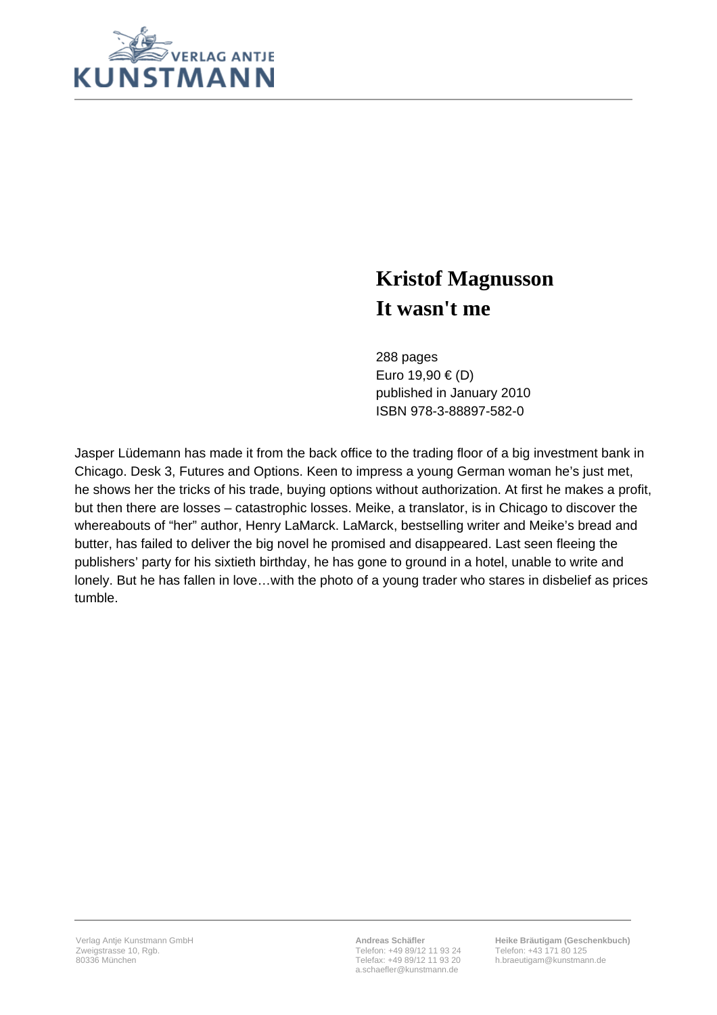

## **Kristof Magnusson It wasn't me**

288 pages Euro 19,90 € (D) published in January 2010 ISBN 978-3-88897-582-0

Jasper Lüdemann has made it from the back office to the trading floor of a big investment bank in Chicago. Desk 3, Futures and Options. Keen to impress a young German woman he's just met, he shows her the tricks of his trade, buying options without authorization. At first he makes a profit, but then there are losses – catastrophic losses. Meike, a translator, is in Chicago to discover the whereabouts of "her" author, Henry LaMarck. LaMarck, bestselling writer and Meike's bread and butter, has failed to deliver the big novel he promised and disappeared. Last seen fleeing the publishers' party for his sixtieth birthday, he has gone to ground in a hotel, unable to write and lonely. But he has fallen in love…with the photo of a young trader who stares in disbelief as prices tumble.

**Andreas Schäfler** Telefon: +49 89/12 11 93 24 Telefax: +49 89/12 11 93 20 a.schaefler@kunstmann.de

**Heike Bräutigam (Geschenkbuch)** Telefon: +43 171 80 125 h.braeutigam@kunstmann.de